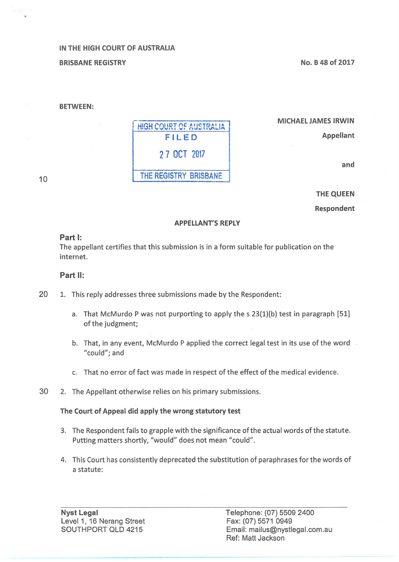### IN THE HIGH COURT OF AUSTRALIA

BRISBANE REGISTRY

No. B 48 of 2017

#### BETWEEN:

**HIGH COURT OF AUSTRALIA** FILED 2 7 OCT 2017 THE REGISTRY BRISBANE

MICHAEL JAMES IRWIN

Appellant

and

10

..

# THE QUEEN

Respondent

#### APPELLANT'S REPLY

#### Part 1:

The appellant certifies that this submission is in a form suitable for publication on the internet.

#### Part 11:

- 20 1. This reply addresses three submissions made by the Respondent:
	- a. That McMurdo P was not purporting to apply the s 23{1)(b} test in paragraph [51] of the judgment;
	- b. That, in any event, McMurdo P applied the correct legal test in its use of the word "could"; and
	- c. That no error of fact was made in respect of the effect of the medical evidence.
- 30 2. The Appellant otherwise relies on his primary submissions.

#### The Court of Appeal did apply the wrong statutory test

- 3. The Respondent fails to grapple with the significance of the actual words of the statute. Putting matters shortly, "would" does not mean "could".
- 4. This Court has consistently deprecated the substitution of paraphrases for the words of a statute:

Telephone: (07) 5509 2400 Fax: (07) 5571 0949 Email: mailus@nystlegal.com.au Ref: Matt Jackson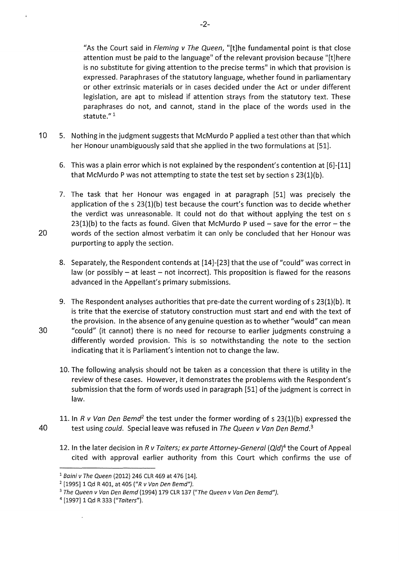"As the Court said in Fleming v The Queen, "[t]he fundamental point is that close attention must be paid to the language" of the relevant provision because "[t]here is no substitute for giving attention to the precise terms" in which that provision is expressed. Paraphrases of the statutory language, whether found in parliamentary or other extrinsic materials or in cases decided under the Act or under different legislation, are apt to mislead if attention strays from the statutory text. These paraphrases do not, and cannot, stand in the place of the words used in the statute."<sup>1</sup>

- 10 5. Nothing in the judgment suggests that McMurdo P applied a test other than that which her Honour unambiguously said that she applied in the two formulations at [51].
	- 6. This was a plain error which is not explained by the respondent's contention at [6]-[11] that McMurdo P was not attempting to state the test set by section  $s$  23(1)(b).
- 7. The task that her Honour was engaged in at paragraph [51] was precisely the application of the  $s$  23(1)(b) test because the court's function was to decide whether the verdict was unreasonable. lt could not do that without applying the test on s  $23(1)(b)$  to the facts as found. Given that McMurdo P used - save for the error - the 20 words of the section almost verbatim it can only be concluded that her Honour was purporting to apply the section.
	- 8. Separately, the Respondent contends at [14]-[23] that the use of "could" was correct in law (or possibly  $-$  at least  $-$  not incorrect). This proposition is flawed for the reasons advanced in the Appellant's primary submissions.
- 9. The Respondent analyses authorities that pre-date the current wording of s 23(1)(b). lt is trite that the exercise of statutory construction must start and end with the text of the provision. In the absence of any genuine question as to whether "would" can mean 30 "could" (it cannot) there is no need for recourse to earlier judgments construing a differently worded provision. This is so notwithstanding the note to the section indicating that it is Parliament's intention not to change the law.
	- 10. The following analysis should not be taken as a concession that there is utility in the review of these cases. However, it demonstrates the problems with the Respondent's submission that the form of words used in paragraph [51] of the judgment is correct in law.
- 11. In R v Van Den Bemd*<sup>2</sup>*the test under the former wording of s 23(1)(b) expressed the 40 test using could. Special leave was refused in The Queen v Van Den Bemd. *<sup>3</sup>*
	- 12. In the later decision in R v Taiters; ex parte Attorney-General (Qid)*<sup>4</sup>*the Court of Appeal cited with approval earlier authority from this Court which confirms the use of

-2-

<sup>&</sup>lt;sup>1</sup> Baini v The Queen (2012) 246 CLR 469 at 476 [14].<br><sup>2</sup> [1995] 1 Qd R 401, at 405 ("R v Van Den Bemd").

<sup>&</sup>lt;sup>3</sup> The Queen v Van Den Bemd (1994) 179 CLR 137 ("The Queen v Van Den Bemd").

<sup>&</sup>lt;sup>4</sup> [1997] 1 Qd R 333 ("Taiters").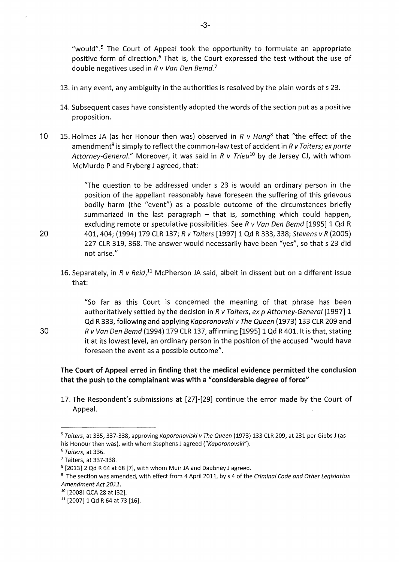"would".<sup>5</sup> The Court of Appeal took the opportunity to formulate an appropriate positive form of direction.<sup>6</sup> That is, the Court expressed the test without the use of double negatives used in  $R$  v Van Den Bemd.<sup>7</sup>

- 13. In any event, any ambiguity in the authorities is resolved by the plain words of s 23.
- 14. Subsequent cases have consistently adopted the words of the section put as a positive proposition.
- 10 15. Holmes JA (as her Honour then was) observed in R *v* Hung*<sup>8</sup>*that "the effect of the amendment<sup>9</sup> is simply to reflect the common-law test of accident in R v Taiters; ex parte Attorney-General." Moreover, it was said in R v Trieu*10* by de Jersey CJ, with whom McMurdo P and Fryberg J agreed, that:

"The question to be addressed under s 23 is would an ordinary person in the position of the appellant reasonably have foreseen the suffering of this grievous bodily harm (the "event") as a possible outcome of the circumstances briefly summarized in the last paragraph  $-$  that is, something which could happen, excluding remote or speculative possibilities. See R v Van Den Bemd [1995] 1 Qd R 20 401, 404; (1994) 179 CLR 137; R v Taiters [1997] 1 Qd R 333, 338; Stevens v R (2005} 227 CLR 319, 368. The answer would necessarily have been "yes", so that s 23 did not arise."

16. Separately, in R v Reid,<sup>11</sup> McPherson JA said, albeit in dissent but on a different issue that:

"So far as this Court is concerned the meaning of that phrase has been authoritatively settled by the decision in R v Taiters, ex p Attorney-General [1997] 1 Qd R 333, following and applying Kaporonovski v The Queen (1973) 133 CLR 209 and R v Van Den Bemd (1994) 179 CLR 137, affirming [1995] 1 Qd R 401.1t is that, stating it at its lowest level, an ordinary person in the position of the accused "would have foreseen the event as a possible outcome".

## The Court of Appeal erred in finding that the medical evidence permitted the conclusion that the push to the complainant was with a "considerable degree of force"

17. The Respondent's submissions at [27]-[29] continue the error made by the Court of Appeal.

30

<sup>&</sup>lt;sup>5</sup> Taiters, at 335, 337-338, approving Kaporonoviski v The Queen (1973) 133 CLR 209, at 231 per Gibbs J (as his Honour then was), with whom Stephens J agreed ("Kaporonovski").

<sup>&</sup>lt;sup>6</sup> Taiters, at 336.

<sup>7</sup>Taiters, at 337-338.

<sup>8</sup>[2013] 2 Qd R 64 at 68 [7], with whom Muir JA and Daubney J agreed.

<sup>&</sup>lt;sup>9</sup> The section was amended, with effect from 4 April 2011, by s 4 of the Criminal Code and Other Legislation Amendment Act 2011.

<sup>&</sup>lt;sup>10</sup> [2008] QCA 28 at [32].

<sup>&</sup>lt;sup>11</sup> [2007] 1 Qd R 64 at 73 [16].